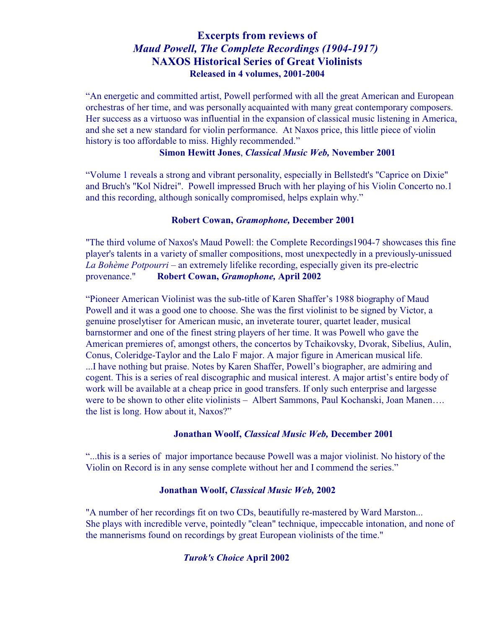## **Excerpts from reviews of** *Maud Powell, The Complete Recordings (1904-1917)*  **NAXOS Historical Series of Great Violinists Released in 4 volumes, 2001-2004**

"An energetic and committed artist, Powell performed with all the great American and European orchestras of her time, and was personally acquainted with many great contemporary composers. Her success as a virtuoso was influential in the expansion of classical music listening in America, and she set a new standard for violin performance. At Naxos price, this little piece of violin history is too affordable to miss. Highly recommended."

#### **Simon Hewitt Jones**, *Classical Music Web,* **November 2001**

"Volume 1 reveals a strong and vibrant personality, especially in Bellstedt's "Caprice on Dixie" and Bruch's "Kol Nidrei". Powell impressed Bruch with her playing of his Violin Concerto no.1 and this recording, although sonically compromised, helps explain why."

#### **Robert Cowan,** *Gramophone,* **December 2001**

"The third volume of Naxos's Maud Powell: the Complete Recordings1904-7 showcases this fine player's talents in a variety of smaller compositions, most unexpectedly in a previously-unissued *La Bohème Potpourri* – an extremely lifelike recording, especially given its pre-electric provenance." **Robert Cowan,** *Gramophone,* **April 2002**

"Pioneer American Violinist was the sub-title of Karen Shaffer's 1988 biography of Maud Powell and it was a good one to choose. She was the first violinist to be signed by Victor, a genuine proselytiser for American music, an inveterate tourer, quartet leader, musical barnstormer and one of the finest string players of her time. It was Powell who gave the American premieres of, amongst others, the concertos by Tchaikovsky, Dvorak, Sibelius, Aulin, Conus, Coleridge-Taylor and the Lalo F major. A major figure in American musical life. ...I have nothing but praise. Notes by Karen Shaffer, Powell's biographer, are admiring and cogent. This is a series of real discographic and musical interest. A major artist's entire body of work will be available at a cheap price in good transfers. If only such enterprise and largesse were to be shown to other elite violinists – Albert Sammons, Paul Kochanski, Joan Manen.... the list is long. How about it, Naxos?"

#### **Jonathan Woolf,** *Classical Music Web,* **December 2001**

"...this is a series of major importance because Powell was a major violinist. No history of the Violin on Record is in any sense complete without her and I commend the series."

#### **Jonathan Woolf,** *Classical Music Web,* **2002**

"A number of her recordings fit on two CDs, beautifully re-mastered by Ward Marston... She plays with incredible verve, pointedly "clean" technique, impeccable intonation, and none of the mannerisms found on recordings by great European violinists of the time."

#### *Turok's Choice* **April 2002**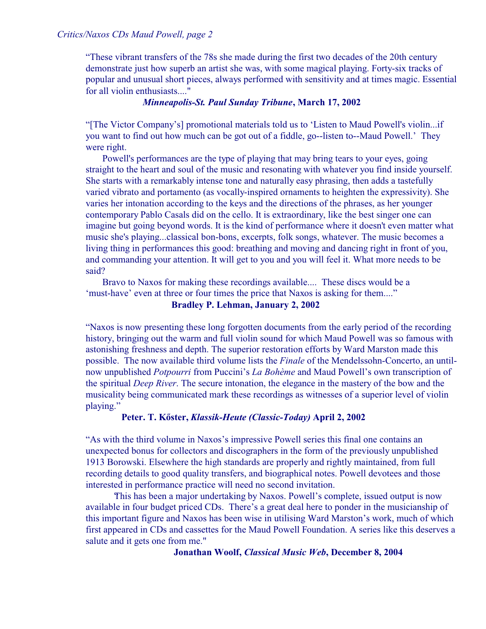"These vibrant transfers of the 78s she made during the first two decades of the 20th century demonstrate just how superb an artist she was, with some magical playing. Forty-six tracks of popular and unusual short pieces, always performed with sensitivity and at times magic. Essential for all violin enthusiasts...."

#### *Minneapolis-St. Paul Sunday Tribune***, March 17, 2002**

"[The Victor Company's] promotional materials told us to 'Listen to Maud Powell's violin...if you want to find out how much can be got out of a fiddle, go--listen to--Maud Powell.' They were right.

 Powell's performances are the type of playing that may bring tears to your eyes, going straight to the heart and soul of the music and resonating with whatever you find inside yourself. She starts with a remarkably intense tone and naturally easy phrasing, then adds a tastefully varied vibrato and portamento (as vocally-inspired ornaments to heighten the expressivity). She varies her intonation according to the keys and the directions of the phrases, as her younger contemporary Pablo Casals did on the cello. It is extraordinary, like the best singer one can imagine but going beyond words. It is the kind of performance where it doesn't even matter what music she's playing...classical bon-bons, excerpts, folk songs, whatever. The music becomes a living thing in performances this good: breathing and moving and dancing right in front of you, and commanding your attention. It will get to you and you will feel it. What more needs to be said?

 Bravo to Naxos for making these recordings available.... These discs would be a 'must-have' even at three or four times the price that Naxos is asking for them...."

#### **Bradley P. Lehman, January 2, 2002**

"Naxos is now presenting these long forgotten documents from the early period of the recording history, bringing out the warm and full violin sound for which Maud Powell was so famous with astonishing freshness and depth. The superior restoration efforts by Ward Marston made this possible. The now available third volume lists the *Finale* of the Mendelssohn-Concerto, an untilnow unpublished *Potpourri* from Puccini's *La Bohème* and Maud Powell's own transcription of the spiritual *Deep River*. The secure intonation, the elegance in the mastery of the bow and the musicality being communicated mark these recordings as witnesses of a superior level of violin playing."

#### **Peter. T. Kõster,** *Klassik-Heute (Classic-Today)* **April 2, 2002**

"As with the third volume in Naxos's impressive Powell series this final one contains an unexpected bonus for collectors and discographers in the form of the previously unpublished 1913 Borowski. Elsewhere the high standards are properly and rightly maintained, from full recording details to good quality transfers, and biographical notes. Powell devotees and those interested in performance practice will need no second invitation.

This has been a major undertaking by Naxos. Powell's complete, issued output is now available in four budget priced CDs. There's a great deal here to ponder in the musicianship of this important figure and Naxos has been wise in utilising Ward Marston's work, much of which first appeared in CDs and cassettes for the Maud Powell Foundation. A series like this deserves a salute and it gets one from me."

#### **Jonathan Woolf,** *Classical Music Web***, December 8, 2004**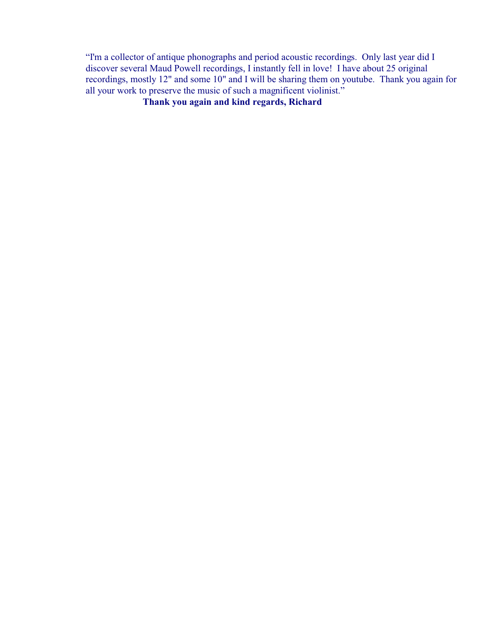"I'm a collector of antique phonographs and period acoustic recordings. Only last year did I discover several Maud Powell recordings, I instantly fell in love! I have about 25 original recordings, mostly 12" and some 10" and I will be sharing them on youtube. Thank you again for all your work to preserve the music of such a magnificent violinist."

**Thank you again and kind regards, Richard**